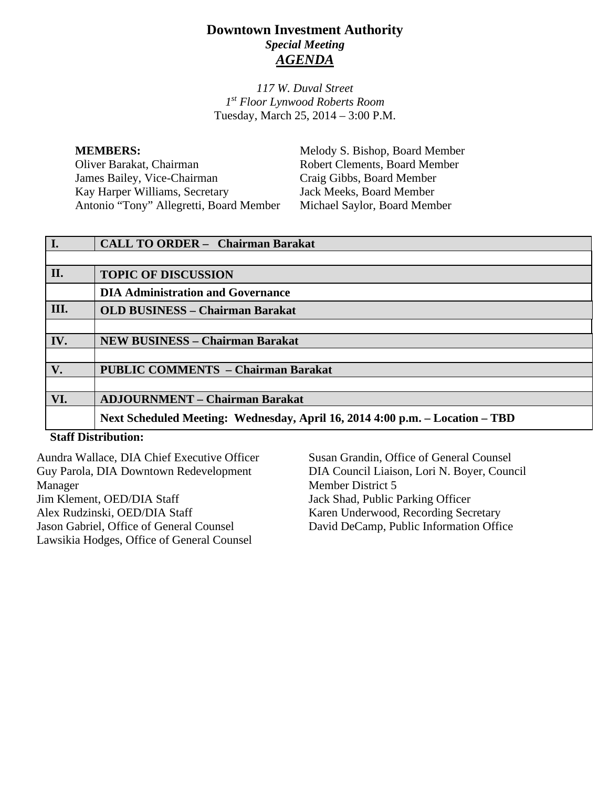# **Downtown Investment Authority** *Special Meeting AGENDA*

*117 W. Duval Street 1st Floor Lynwood Roberts Room* Tuesday, March 25, 2014 – 3:00 P.M.

**MEMBERS:** Melody S. Bishop, Board Member Oliver Barakat, Chairman Robert Clements, Board Member<br>
James Bailey. Vice-Chairman Craig Gibbs. Board Member James Bailey, Vice-Chairman Kay Harper Williams, Secretary Jack Meeks, Board Member Antonio "Tony" Allegretti, Board Member Michael Saylor, Board Member

| $\vert$ I. | <b>CALL TO ORDER - Chairman Barakat</b>                                      |
|------------|------------------------------------------------------------------------------|
|            |                                                                              |
| II.        | <b>TOPIC OF DISCUSSION</b>                                                   |
|            | <b>DIA Administration and Governance</b>                                     |
| III.       | <b>OLD BUSINESS - Chairman Barakat</b>                                       |
|            |                                                                              |
| IV.        | <b>NEW BUSINESS – Chairman Barakat</b>                                       |
|            |                                                                              |
| V.         | <b>PUBLIC COMMENTS - Chairman Barakat</b>                                    |
|            |                                                                              |
| VI.        | <b>ADJOURNMENT – Chairman Barakat</b>                                        |
|            | Next Scheduled Meeting: Wednesday, April 16, 2014 4:00 p.m. - Location - TBD |
|            |                                                                              |

### **Staff Distribution:**

Aundra Wallace, DIA Chief Executive Officer Guy Parola, DIA Downtown Redevelopment Manager Jim Klement, OED/DIA Staff Alex Rudzinski, OED/DIA Staff Jason Gabriel, Office of General Counsel Lawsikia Hodges, Office of General Counsel Susan Grandin, Office of General Counsel DIA Council Liaison, Lori N. Boyer, Council Member District 5 Jack Shad, Public Parking Officer Karen Underwood, Recording Secretary David DeCamp, Public Information Office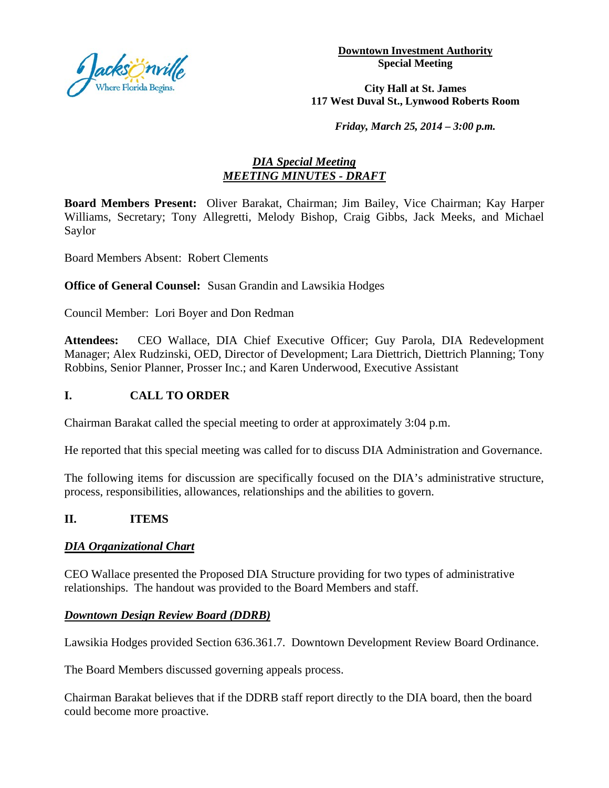

**Downtown Investment Authority Special Meeting** 

**City Hall at St. James 117 West Duval St., Lynwood Roberts Room**

*Friday, March 25, 2014 – 3:00 p.m.*

## *DIA Special Meeting MEETING MINUTES - DRAFT*

**Board Members Present:** Oliver Barakat, Chairman; Jim Bailey, Vice Chairman; Kay Harper Williams, Secretary; Tony Allegretti, Melody Bishop, Craig Gibbs, Jack Meeks, and Michael Saylor

Board Members Absent: Robert Clements

**Office of General Counsel:** Susan Grandin and Lawsikia Hodges

Council Member: Lori Boyer and Don Redman

**Attendees:** CEO Wallace, DIA Chief Executive Officer; Guy Parola, DIA Redevelopment Manager; Alex Rudzinski, OED, Director of Development; Lara Diettrich, Diettrich Planning; Tony Robbins, Senior Planner, Prosser Inc.; and Karen Underwood, Executive Assistant

### **I. CALL TO ORDER**

Chairman Barakat called the special meeting to order at approximately 3:04 p.m.

He reported that this special meeting was called for to discuss DIA Administration and Governance.

The following items for discussion are specifically focused on the DIA's administrative structure, process, responsibilities, allowances, relationships and the abilities to govern.

### **II. ITEMS**

### *DIA Organizational Chart*

CEO Wallace presented the Proposed DIA Structure providing for two types of administrative relationships. The handout was provided to the Board Members and staff.

### *Downtown Design Review Board (DDRB)*

Lawsikia Hodges provided Section 636.361.7. Downtown Development Review Board Ordinance.

The Board Members discussed governing appeals process.

Chairman Barakat believes that if the DDRB staff report directly to the DIA board, then the board could become more proactive.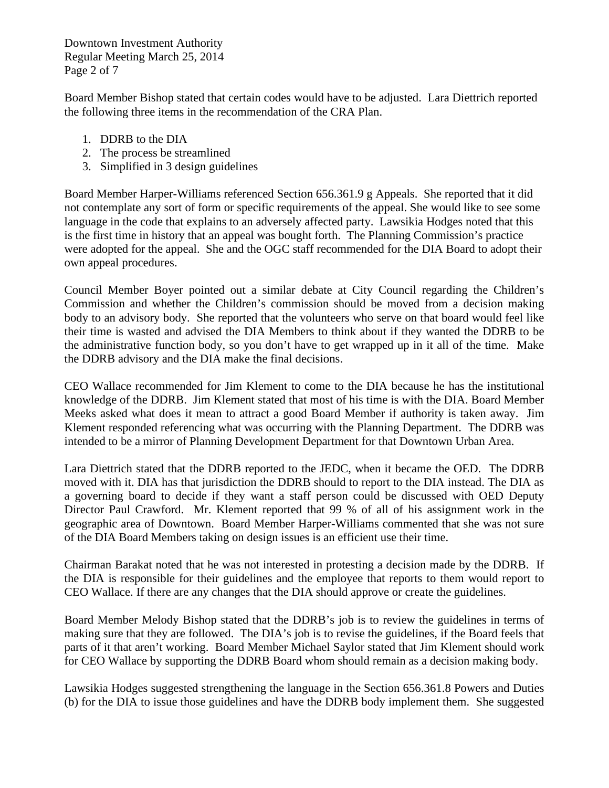Downtown Investment Authority Regular Meeting March 25, 2014 Page 2 of 7

Board Member Bishop stated that certain codes would have to be adjusted. Lara Diettrich reported the following three items in the recommendation of the CRA Plan.

- 1. DDRB to the DIA
- 2. The process be streamlined
- 3. Simplified in 3 design guidelines

Board Member Harper-Williams referenced Section 656.361.9 g Appeals. She reported that it did not contemplate any sort of form or specific requirements of the appeal. She would like to see some language in the code that explains to an adversely affected party. Lawsikia Hodges noted that this is the first time in history that an appeal was bought forth. The Planning Commission's practice were adopted for the appeal. She and the OGC staff recommended for the DIA Board to adopt their own appeal procedures.

Council Member Boyer pointed out a similar debate at City Council regarding the Children's Commission and whether the Children's commission should be moved from a decision making body to an advisory body. She reported that the volunteers who serve on that board would feel like their time is wasted and advised the DIA Members to think about if they wanted the DDRB to be the administrative function body, so you don't have to get wrapped up in it all of the time. Make the DDRB advisory and the DIA make the final decisions.

CEO Wallace recommended for Jim Klement to come to the DIA because he has the institutional knowledge of the DDRB. Jim Klement stated that most of his time is with the DIA. Board Member Meeks asked what does it mean to attract a good Board Member if authority is taken away. Jim Klement responded referencing what was occurring with the Planning Department. The DDRB was intended to be a mirror of Planning Development Department for that Downtown Urban Area.

Lara Diettrich stated that the DDRB reported to the JEDC, when it became the OED. The DDRB moved with it. DIA has that jurisdiction the DDRB should to report to the DIA instead. The DIA as a governing board to decide if they want a staff person could be discussed with OED Deputy Director Paul Crawford. Mr. Klement reported that 99 % of all of his assignment work in the geographic area of Downtown. Board Member Harper-Williams commented that she was not sure of the DIA Board Members taking on design issues is an efficient use their time.

Chairman Barakat noted that he was not interested in protesting a decision made by the DDRB. If the DIA is responsible for their guidelines and the employee that reports to them would report to CEO Wallace. If there are any changes that the DIA should approve or create the guidelines.

Board Member Melody Bishop stated that the DDRB's job is to review the guidelines in terms of making sure that they are followed. The DIA's job is to revise the guidelines, if the Board feels that parts of it that aren't working. Board Member Michael Saylor stated that Jim Klement should work for CEO Wallace by supporting the DDRB Board whom should remain as a decision making body.

Lawsikia Hodges suggested strengthening the language in the Section 656.361.8 Powers and Duties (b) for the DIA to issue those guidelines and have the DDRB body implement them. She suggested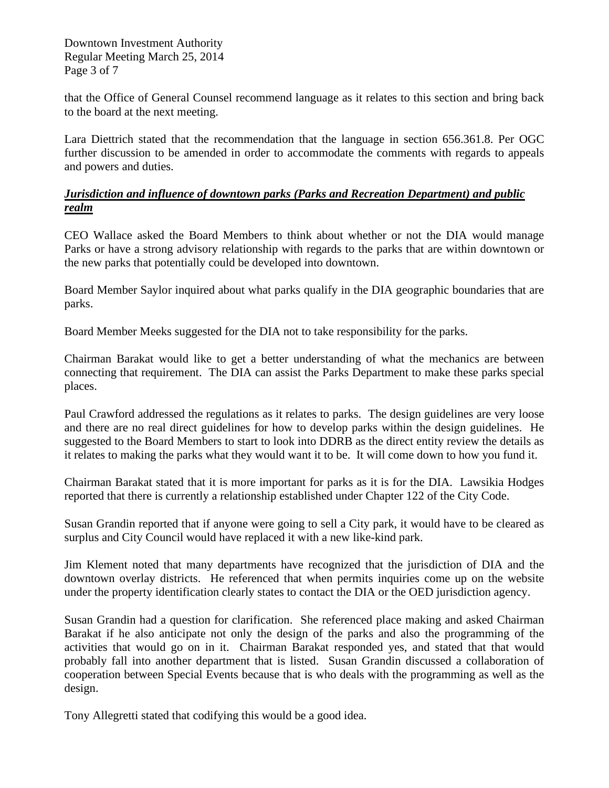Downtown Investment Authority Regular Meeting March 25, 2014 Page 3 of 7

that the Office of General Counsel recommend language as it relates to this section and bring back to the board at the next meeting.

Lara Diettrich stated that the recommendation that the language in section 656.361.8. Per OGC further discussion to be amended in order to accommodate the comments with regards to appeals and powers and duties.

## *Jurisdiction and influence of downtown parks (Parks and Recreation Department) and public realm*

CEO Wallace asked the Board Members to think about whether or not the DIA would manage Parks or have a strong advisory relationship with regards to the parks that are within downtown or the new parks that potentially could be developed into downtown.

Board Member Saylor inquired about what parks qualify in the DIA geographic boundaries that are parks.

Board Member Meeks suggested for the DIA not to take responsibility for the parks.

Chairman Barakat would like to get a better understanding of what the mechanics are between connecting that requirement. The DIA can assist the Parks Department to make these parks special places.

Paul Crawford addressed the regulations as it relates to parks. The design guidelines are very loose and there are no real direct guidelines for how to develop parks within the design guidelines. He suggested to the Board Members to start to look into DDRB as the direct entity review the details as it relates to making the parks what they would want it to be. It will come down to how you fund it.

Chairman Barakat stated that it is more important for parks as it is for the DIA. Lawsikia Hodges reported that there is currently a relationship established under Chapter 122 of the City Code.

Susan Grandin reported that if anyone were going to sell a City park, it would have to be cleared as surplus and City Council would have replaced it with a new like-kind park.

Jim Klement noted that many departments have recognized that the jurisdiction of DIA and the downtown overlay districts. He referenced that when permits inquiries come up on the website under the property identification clearly states to contact the DIA or the OED jurisdiction agency.

Susan Grandin had a question for clarification. She referenced place making and asked Chairman Barakat if he also anticipate not only the design of the parks and also the programming of the activities that would go on in it. Chairman Barakat responded yes, and stated that that would probably fall into another department that is listed. Susan Grandin discussed a collaboration of cooperation between Special Events because that is who deals with the programming as well as the design.

Tony Allegretti stated that codifying this would be a good idea.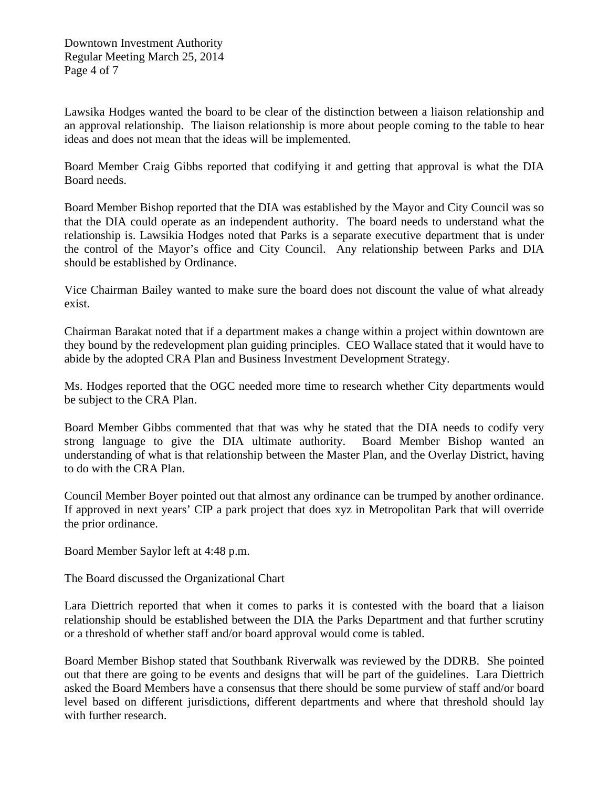Lawsika Hodges wanted the board to be clear of the distinction between a liaison relationship and an approval relationship. The liaison relationship is more about people coming to the table to hear ideas and does not mean that the ideas will be implemented.

Board Member Craig Gibbs reported that codifying it and getting that approval is what the DIA Board needs.

Board Member Bishop reported that the DIA was established by the Mayor and City Council was so that the DIA could operate as an independent authority. The board needs to understand what the relationship is. Lawsikia Hodges noted that Parks is a separate executive department that is under the control of the Mayor's office and City Council. Any relationship between Parks and DIA should be established by Ordinance.

Vice Chairman Bailey wanted to make sure the board does not discount the value of what already exist.

Chairman Barakat noted that if a department makes a change within a project within downtown are they bound by the redevelopment plan guiding principles. CEO Wallace stated that it would have to abide by the adopted CRA Plan and Business Investment Development Strategy.

Ms. Hodges reported that the OGC needed more time to research whether City departments would be subject to the CRA Plan.

Board Member Gibbs commented that that was why he stated that the DIA needs to codify very strong language to give the DIA ultimate authority. Board Member Bishop wanted an understanding of what is that relationship between the Master Plan, and the Overlay District, having to do with the CRA Plan.

Council Member Boyer pointed out that almost any ordinance can be trumped by another ordinance. If approved in next years' CIP a park project that does xyz in Metropolitan Park that will override the prior ordinance.

Board Member Saylor left at 4:48 p.m.

The Board discussed the Organizational Chart

Lara Diettrich reported that when it comes to parks it is contested with the board that a liaison relationship should be established between the DIA the Parks Department and that further scrutiny or a threshold of whether staff and/or board approval would come is tabled.

Board Member Bishop stated that Southbank Riverwalk was reviewed by the DDRB. She pointed out that there are going to be events and designs that will be part of the guidelines. Lara Diettrich asked the Board Members have a consensus that there should be some purview of staff and/or board level based on different jurisdictions, different departments and where that threshold should lay with further research.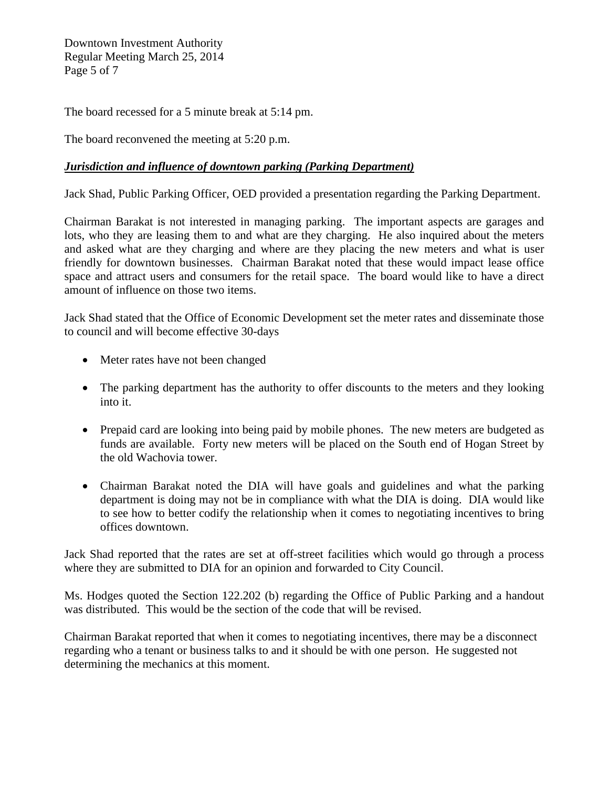Downtown Investment Authority Regular Meeting March 25, 2014 Page 5 of 7

The board recessed for a 5 minute break at 5:14 pm.

The board reconvened the meeting at 5:20 p.m.

## *Jurisdiction and influence of downtown parking (Parking Department)*

Jack Shad, Public Parking Officer, OED provided a presentation regarding the Parking Department.

Chairman Barakat is not interested in managing parking. The important aspects are garages and lots, who they are leasing them to and what are they charging. He also inquired about the meters and asked what are they charging and where are they placing the new meters and what is user friendly for downtown businesses. Chairman Barakat noted that these would impact lease office space and attract users and consumers for the retail space. The board would like to have a direct amount of influence on those two items.

Jack Shad stated that the Office of Economic Development set the meter rates and disseminate those to council and will become effective 30-days

- Meter rates have not been changed
- The parking department has the authority to offer discounts to the meters and they looking into it.
- Prepaid card are looking into being paid by mobile phones. The new meters are budgeted as funds are available. Forty new meters will be placed on the South end of Hogan Street by the old Wachovia tower.
- Chairman Barakat noted the DIA will have goals and guidelines and what the parking department is doing may not be in compliance with what the DIA is doing. DIA would like to see how to better codify the relationship when it comes to negotiating incentives to bring offices downtown.

Jack Shad reported that the rates are set at off-street facilities which would go through a process where they are submitted to DIA for an opinion and forwarded to City Council.

Ms. Hodges quoted the Section 122.202 (b) regarding the Office of Public Parking and a handout was distributed. This would be the section of the code that will be revised.

Chairman Barakat reported that when it comes to negotiating incentives, there may be a disconnect regarding who a tenant or business talks to and it should be with one person. He suggested not determining the mechanics at this moment.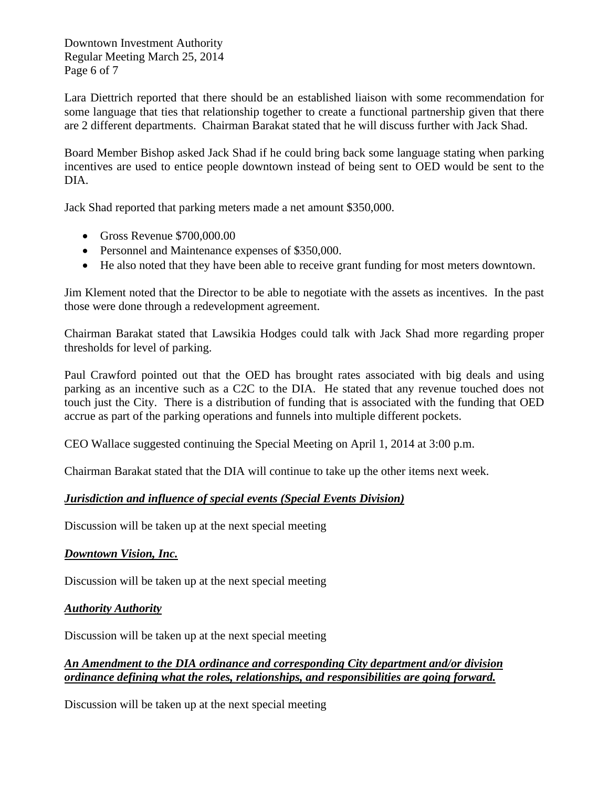Downtown Investment Authority Regular Meeting March 25, 2014 Page 6 of 7

Lara Diettrich reported that there should be an established liaison with some recommendation for some language that ties that relationship together to create a functional partnership given that there are 2 different departments. Chairman Barakat stated that he will discuss further with Jack Shad.

Board Member Bishop asked Jack Shad if he could bring back some language stating when parking incentives are used to entice people downtown instead of being sent to OED would be sent to the DIA.

Jack Shad reported that parking meters made a net amount \$350,000.

- Gross Revenue \$700,000.00
- Personnel and Maintenance expenses of \$350,000.
- He also noted that they have been able to receive grant funding for most meters downtown.

Jim Klement noted that the Director to be able to negotiate with the assets as incentives. In the past those were done through a redevelopment agreement.

Chairman Barakat stated that Lawsikia Hodges could talk with Jack Shad more regarding proper thresholds for level of parking.

Paul Crawford pointed out that the OED has brought rates associated with big deals and using parking as an incentive such as a C2C to the DIA. He stated that any revenue touched does not touch just the City. There is a distribution of funding that is associated with the funding that OED accrue as part of the parking operations and funnels into multiple different pockets.

CEO Wallace suggested continuing the Special Meeting on April 1, 2014 at 3:00 p.m.

Chairman Barakat stated that the DIA will continue to take up the other items next week.

### *Jurisdiction and influence of special events (Special Events Division)*

Discussion will be taken up at the next special meeting

### *Downtown Vision, Inc.*

Discussion will be taken up at the next special meeting

### *Authority Authority*

Discussion will be taken up at the next special meeting

### *An Amendment to the DIA ordinance and corresponding City department and/or division ordinance defining what the roles, relationships, and responsibilities are going forward.*

Discussion will be taken up at the next special meeting